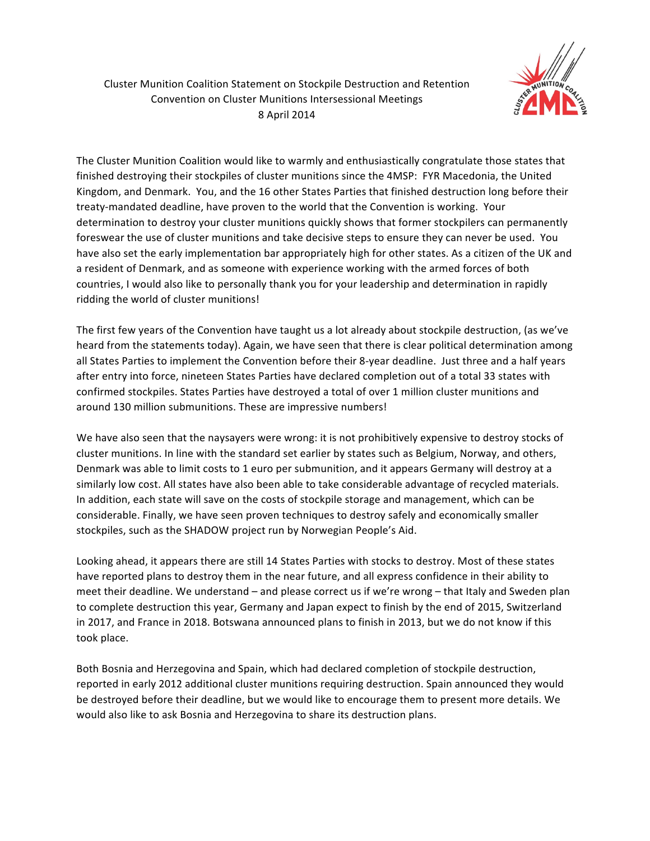

Cluster Munition Coalition Statement on Stockpile Destruction and Retention Convention on Cluster Munitions Intersessional Meetings 8 April 2014

The Cluster Munition Coalition would like to warmly and enthusiastically congratulate those states that finished destroying their stockpiles of cluster munitions since the 4MSP: FYR Macedonia, the United Kingdom, and Denmark. You, and the 16 other States Parties that finished destruction long before their treaty-mandated deadline, have proven to the world that the Convention is working. Your determination to destroy your cluster munitions quickly shows that former stockpilers can permanently foreswear the use of cluster munitions and take decisive steps to ensure they can never be used. You have also set the early implementation bar appropriately high for other states. As a citizen of the UK and a resident of Denmark, and as someone with experience working with the armed forces of both countries, I would also like to personally thank you for your leadership and determination in rapidly ridding the world of cluster munitions!

The first few years of the Convention have taught us a lot already about stockpile destruction, (as we've) heard from the statements today). Again, we have seen that there is clear political determination among all States Parties to implement the Convention before their 8-year deadline. Just three and a half years after entry into force, nineteen States Parties have declared completion out of a total 33 states with confirmed stockpiles. States Parties have destroyed a total of over 1 million cluster munitions and around 130 million submunitions. These are impressive numbers!

We have also seen that the naysayers were wrong: it is not prohibitively expensive to destroy stocks of cluster munitions. In line with the standard set earlier by states such as Belgium, Norway, and others, Denmark was able to limit costs to 1 euro per submunition, and it appears Germany will destroy at a similarly low cost. All states have also been able to take considerable advantage of recycled materials. In addition, each state will save on the costs of stockpile storage and management, which can be considerable. Finally, we have seen proven techniques to destroy safely and economically smaller stockpiles, such as the SHADOW project run by Norwegian People's Aid.

Looking ahead, it appears there are still 14 States Parties with stocks to destroy. Most of these states have reported plans to destroy them in the near future, and all express confidence in their ability to meet their deadline. We understand – and please correct us if we're wrong – that Italy and Sweden plan to complete destruction this year, Germany and Japan expect to finish by the end of 2015, Switzerland in 2017, and France in 2018. Botswana announced plans to finish in 2013, but we do not know if this took place.

Both Bosnia and Herzegovina and Spain, which had declared completion of stockpile destruction, reported in early 2012 additional cluster munitions requiring destruction. Spain announced they would be destroyed before their deadline, but we would like to encourage them to present more details. We would also like to ask Bosnia and Herzegovina to share its destruction plans.